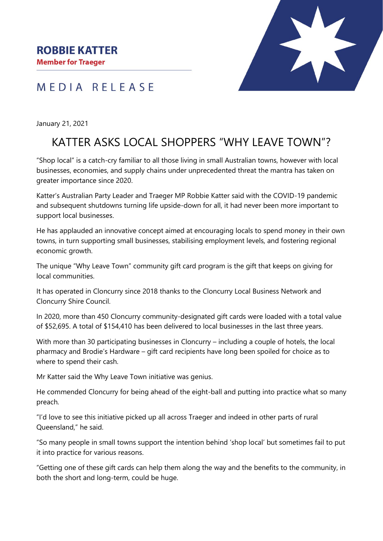**Member for Traeger** 



## MEDIA RELEASE

January 21, 2021

## KATTER ASKS LOCAL SHOPPERS "WHY LEAVE TOWN"?

"Shop local" is a catch-cry familiar to all those living in small Australian towns, however with local businesses, economies, and supply chains under unprecedented threat the mantra has taken on greater importance since 2020.

Katter's Australian Party Leader and Traeger MP Robbie Katter said with the COVID-19 pandemic and subsequent shutdowns turning life upside-down for all, it had never been more important to support local businesses.

He has applauded an innovative concept aimed at encouraging locals to spend money in their own towns, in turn supporting small businesses, stabilising employment levels, and fostering regional economic growth.

The unique "Why Leave Town" community gift card program is the gift that keeps on giving for local communities.

It has operated in Cloncurry since 2018 thanks to the Cloncurry Local Business Network and Cloncurry Shire Council.

In 2020, more than 450 Cloncurry community-designated gift cards were loaded with a total value of \$52,695. A total of \$154,410 has been delivered to local businesses in the last three years.

With more than 30 participating businesses in Cloncurry – including a couple of hotels, the local pharmacy and Brodie's Hardware – gift card recipients have long been spoiled for choice as to where to spend their cash.

Mr Katter said the Why Leave Town initiative was genius.

He commended Cloncurry for being ahead of the eight-ball and putting into practice what so many preach.

"I'd love to see this initiative picked up all across Traeger and indeed in other parts of rural Queensland," he said.

"So many people in small towns support the intention behind 'shop local' but sometimes fail to put it into practice for various reasons.

"Getting one of these gift cards can help them along the way and the benefits to the community, in both the short and long-term, could be huge.